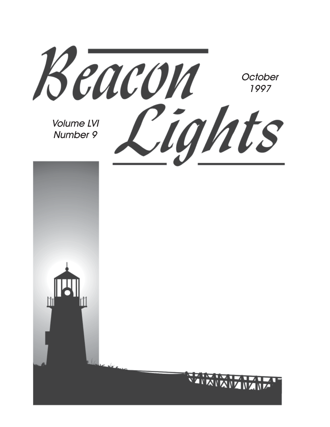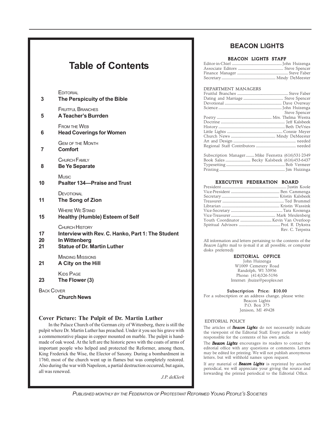### **Table of Contents**

#### **EDITORIAL**

| 3                 | LUIURIAL<br>The Perspicuity of the Bible                                                                                          |
|-------------------|-----------------------------------------------------------------------------------------------------------------------------------|
| 5                 | <b>FRUITFUL BRANCHES</b><br><b>A Teacher's Burrden</b>                                                                            |
| 6                 | <b>FROM THE WEB</b><br><b>Head Coverings for Women</b>                                                                            |
| $\overline{7}$    | <b>GEM OF THE MONTH</b><br>Comfort                                                                                                |
| 8                 | CHURCH FAMILY<br><b>Be Ye Separate</b>                                                                                            |
| 10                | Music<br><b>Psalter 134–Praise and Trust</b>                                                                                      |
| 11                | DEVOTIONAL<br>The Song of Zion                                                                                                    |
| 15                | <b>WHERE WE STAND</b><br><b>Healthy (Humble) Esteem of Self</b>                                                                   |
| 17<br>20<br>21    | <b>CHURCH HISTORY</b><br>Interview with Rev. C. Hanko, Part 1: The Student<br>In Wittenberg<br><b>Statue of Dr. Martin Luther</b> |
| 21                | <b>MINDING MISSIONS</b><br>A City on the Hill                                                                                     |
| 23                | <b>KIDS PAGE</b><br>The Flower (3)                                                                                                |
| <b>BACK COVER</b> |                                                                                                                                   |

**Church News**

#### **Cover Picture: The Pulpit of Dr. Martin Luther**

In the Palace Church of the German city of Wittenberg, there is still the pulpit where Dr. Martin Luther has preached. Under it you see his grave with a commemorative plaque in copper mounted on marble. The pulpit is handmade of oak wood. At the left are the historic pews with the coats of arms of important people who helped and protected the Reformer, among them, King Frederick the Wise, the Elector of Saxony. During a bombardment in 1760, most of the church went up in flames but was completely restored. Also during the war with Napoleon, a partial destruction occurred, but again, all was renewed.

*J.P. deKlerk*

#### **BEACON LIGHTS**

#### BEACON LIGHTS STAFF

#### DEPARTMENT MANAGERS

| Steve Spencer |
|---------------|
|               |
|               |
|               |
|               |
|               |
|               |
|               |
|               |

| Subscription Manager Mike Feenstra (616)531-2349 |  |
|--------------------------------------------------|--|
|                                                  |  |
|                                                  |  |
|                                                  |  |
|                                                  |  |

#### EXECUTIVE FEDERATION BOARD

| Rev. C. Terpstra |
|------------------|
|                  |

All information and letters pertaining to the contents of the *Beacon Lights* mail to (e-mail if at all possible, or computer disks preferred):

#### EDITORIAL OFFICE

John Huizenga W1009 Cemetery Road Randolph, WI 53956 Phone: (414)326-5196 Internet: jhuize@peoples.net

#### Subscription Price: \$10.00

For a subscription or an address change, please write: Beacon Lights P.O. Box 375 Jenison, MI 49428

#### EDITORIAL POLICY

The articles of *Beacon Lights* do not necessarily indicate the viewpoint of the Editorial Staff. Every author is solely responsible for the contents of his own article.

The *Beacon Lights* encourages its readers to contact the editorial office with any questions or comments. Letters may be edited for printing. We will not publish anonymous letters, but will withhold names upon request.

If any material of *Beacon Lights* is reprinted by another periodical, we will appreciate your giving the source and forwarding the printed periodical to the Editorial Office.

*PUBLISHED MONTHLY BY THE FEDERATION OF PROTESTANT REFORMED YOUNG PEOPLE'S SOCIETIES*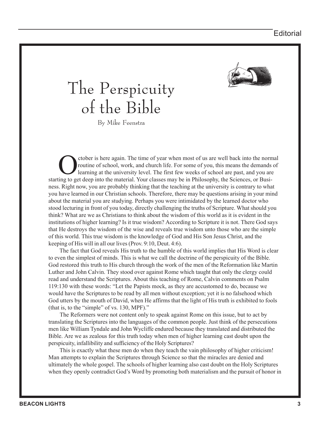

## The Perspicuity of the Bible

By Mike Feenstra

Cober is here again. The time of year when most of us are well back into the normal<br>routine of school, work, and church life. For some of you, this means the demands of<br>learning at the university level. The first few weeks routine of school, work, and church life. For some of you, this means the demands of learning at the university level. The first few weeks of school are past, and you are starting to get deep into the material. Your classes may be in Philosophy, the Sciences, or Business. Right now, you are probably thinking that the teaching at the university is contrary to what you have learned in our Christian schools. Therefore, there may be questions arising in your mind about the material you are studying. Perhaps you were intimidated by the learned doctor who stood lecturing in front of you today, directly challenging the truths of Scripture. What should you think? What are we as Christians to think about the wisdom of this world as it is evident in the institutions of higher learning? Is it true wisdom? According to Scripture it is not. There God says that He destroys the wisdom of the wise and reveals true wisdom unto those who are the simple of this world. This true wisdom is the knowledge of God and His Son Jesus Christ, and the keeping of His will in all our lives (Prov. 9:10, Deut. 4:6).

 The fact that God reveals His truth to the humble of this world implies that His Word is clear to even the simplest of minds. This is what we call the doctrine of the perspicuity of the Bible. God restored this truth to His church through the work of the men of the Reformation like Martin Luther and John Calvin. They stood over against Rome which taught that only the clergy could read and understand the Scriptures. About this teaching of Rome, Calvin comments on Psalm 119:130 with these words: "Let the Papists mock, as they are accustomed to do, because we would have the Scriptures to be read by all men without exception; yet it is no falsehood which God utters by the mouth of David, when He affirms that the light of His truth is exhibited to fools (that is, to the "simple" of vs. 130, MPF)."

 The Reformers were not content only to speak against Rome on this issue, but to act by translating the Scriptures into the languages of the common people. Just think of the persecutions men like William Tyndale and John Wycliffe endured because they translated and distributed the Bible. Are we as zealous for this truth today when men of higher learning cast doubt upon the perspicuity, infallibility and sufficiency of the Holy Scriptures?

 This is exactly what these men do when they teach the vain philosophy of higher criticism! Man attempts to explain the Scriptures through Science so that the miracles are denied and ultimately the whole gospel. The schools of higher learning also cast doubt on the Holy Scriptures when they openly contradict God's Word by promoting both materialism and the pursuit of honor in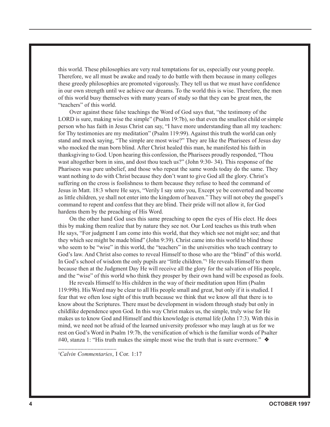this world. These philosophies are very real temptations for us, especially our young people. Therefore, we all must be awake and ready to do battle with them because in many colleges these greedy philosophies are promoted vigorously. They tell us that we must have confidence in our own strength until we achieve our dreams. To the world this is wise. Therefore, the men of this world busy themselves with many years of study so that they can be great men, the "teachers" of this world.

 Over against these false teachings the Word of God says that, "the testimony of the LORD is sure, making wise the simple" (Psalm 19:7b), so that even the smallest child or simple person who has faith in Jesus Christ can say, "I have more understanding than all my teachers: for Thy testimonies are my meditation" (Psalm 119:99). Against this truth the world can only stand and mock saying, "The simple are most wise?" They are like the Pharisees of Jesus day who mocked the man born blind. After Christ healed this man, he manifested his faith in thanksgiving to God. Upon hearing this confession, the Pharisees proudly responded, "Thou wast altogether born in sins, and dost thou teach us?" (John 9:30- 34). This response of the Pharisees was pure unbelief, and those who repeat the same words today do the same. They want nothing to do with Christ because they don't want to give God all the glory. Christ's suffering on the cross is foolishness to them because they refuse to heed the command of Jesus in Matt. 18:3 where He says, "Verily I say unto you, Except ye be converted and become as little children, ye shall not enter into the kingdom of heaven." They will not obey the gospel's command to repent and confess that they are blind. Their pride will not allow it, for God hardens them by the preaching of His Word.

 On the other hand God uses this same preaching to open the eyes of His elect. He does this by making them realize that by nature they see not. Our Lord teaches us this truth when He says, "For judgment I am come into this world, that they which see not might see; and that they which see might be made blind" (John 9:39). Christ came into this world to blind those who seem to be "wise" in this world, the "teachers" in the universities who teach contrary to God's law. And Christ also comes to reveal Himself to those who are the "blind" of this world. In God's school of wisdom the only pupils are "little children."<sup>1</sup> He reveals Himself to them because then at the Judgment Day He will receive all the glory for the salvation of His people, and the "wise" of this world who think they prosper by their own hand will be exposed as fools.

 He reveals Himself to His children in the way of their meditation upon Him (Psalm 119:99b). His Word may be clear to all His people small and great, but only if it is studied. I fear that we often lose sight of this truth because we think that we know all that there is to know about the Scriptures. There must be development in wisdom through study but only in childlike dependence upon God. In this way Christ makes us, the simple, truly wise for He makes us to know God and Himself and this knowledge is eternal life (John 17:3). With this in mind, we need not be afraid of the learned university professor who may laugh at us for we rest on God's Word in Psalm 19:7b, the versification of which is the familiar words of Psalter #40, stanza 1: "His truth makes the simple most wise the truth that is sure evermore."  $\triangleleft$ 

1 *Calvin Commentaries*, I Cor. 1:17

*\_\_\_\_\_\_\_\_\_\_\_\_\_\_\_\_\_\_*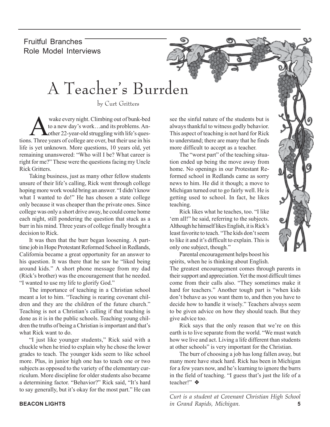Fruitful Branches Role Model Interviews

## A Teacher's Burrden

by Curt Gritters

Wake every night. Climbing out of bunk-bed<br>to a new day's work...and its problems. An-<br>other 22-year-old struggling with life's questo a new day's work…and its problems. Antions. Three years of college are over, but their use in his life is yet unknown. More questions, 10 years old, yet remaining unanswered: "Who will I be? What career is right for me?" These were the questions facing my Uncle Rick Gritters.

Taking business, just as many other fellow students unsure of their life's calling, Rick went through college hoping more work would bring an answer. "I didn't know what I wanted to do!" He has chosen a state college only because it was cheaper than the private ones. Since college was only a short drive away, he could come home each night, still pondering the question that stuck as a burr in his mind. Three years of college finally brought a decision to Rick.

It was then that the burr began loosening. A parttime job in Hope Protestant Reformed School in Redlands, California became a great opportunity for an answer to his question. It was there that he saw he "liked being around kids." A short phone message from my dad (Rick's brother) was the encouragement that he needed. "I wanted to use my life to glorify God."

The importance of teaching in a Christian school meant a lot to him. "Teaching is rearing covenant children and they are the children of the future church." Teaching is not a Christian's calling if that teaching is done as it is in the public schools. Teaching young children the truths of being a Christian is important and that's what Rick want to do.

"I just like younger students," Rick said with a chuckle when he tried to explain why he chose the lower grades to teach. The younger kids seem to like school more. Plus, in junior high one has to teach one or two subjects as opposed to the variety of the elementary curriculum. More discipline for older students also became a determining factor. "Behavior?" Rick said, "It's hard to say generally, but it's okay for the most part." He can

see the sinful nature of the students but is always thankful to witness godly behavior. This aspect of teaching is not hard for Rick to understand; there are many that he finds more difficult to accept as a teacher.

The "worst part" of the teaching situation ended up being the move away from home. No openings in our Protestant Reformed school in Redlands came as sorry news to him. He did it though; a move to Michigan turned out to go fairly well. He is getting used to school. In fact, he likes teaching.

Rick likes what he teaches, too. "I like 'em all!" he said, referring to the subjects. Although he himself likes English, it is Rick's least favorite to teach. "The kids don't seem to like it and it's difficult to explain. This is only one subject, though."



Parental encouragement helps boost his spirits, when he is thinking about English.

The greatest encouragement comes through parents in their support and appreciation. Yet the most difficult times come from their calls also. "They sometimes make it hard for teachers." Another tough part is "when kids don't behave as you want them to, and then you have to decide how to handle it wisely." Teachers always seem to be given advice on how they should teach. But they give advice too.

Rick says that the only reason that we're on this earth is to live separate from the world. "We must watch how we live and act. Living a life different than students at other schools" is very important for the Christian.

The burr of choosing a job has long fallen away, but many more have stuck hard. Rick has been in Michigan for a few years now, and he's learning to ignore the burrs in the field of teaching. "I guess that's just the life of a teacher!" ❖

**BEACON LIGHTS 5** *in Grand Rapids, Michigan.\_\_\_\_\_\_\_\_\_\_\_\_\_\_\_\_\_\_\_\_\_\_\_\_\_\_\_\_\_\_\_\_\_\_\_\_\_\_\_\_\_\_ Curt is a student at Covenant Christian High School*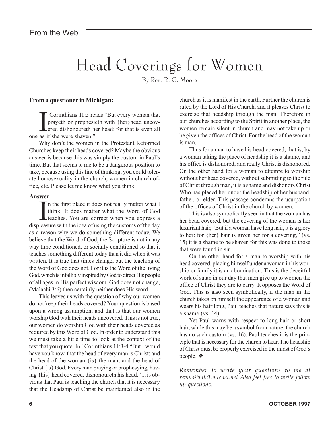## Head Coverings for Women

By Rev. R. G. Moore

#### **From a questioner in Michigan:**

**I** Corinthians 11:5 re prayeth or prophesident corrected dishonoureth hone as if she were shaven." Corinthians 11:5 reads "But every woman that prayeth or prophesieth with {her}head uncovered dishonoureth her head: for that is even all

Why don't the women in the Protestant Reformed Churches keep their heads covered? Maybe the obvious answer is because this was simply the custom in Paul's time. But that seems to me to be a dangerous position to take, because using this line of thinking, you could tolerate homosexuality in the church, women in church office, etc. Please let me know what you think.

#### **Answer**

If the first place it does not really matter what I<br>think. It does matter what the Word of God<br>teaches. You are correct when you express a<br>leagure with the idea of wing the quotame of the dou n the first place it does not really matter what I think. It does matter what the Word of God displeasure with the idea of using the customs of the day as a reason why we do something different today. We believe that the Word of God, the Scripture is not in any way time conditioned, or socially conditioned so that it teaches something different today than it did when it was written. It is true that times change, but the teaching of the Word of God does not. For it is the Word of the living God, which is infallibly inspired by God to direct His people of all ages in His perfect wisdom. God does not change, (Malachi 3:6) then certainly neither does His word.

This leaves us with the question of why our women do not keep their heads covered? Your question is based upon a wrong assumption, and that is that our women worship God with their heads uncovered. This is not true, our women do worship God with their heads covered as required by this Word of God. In order to understand this we must take a little time to look at the context of the text that you quote. In I Corinthians 11:3-4 "But I would have you know, that the head of every man is Christ; and the head of the woman {is} the man; and the head of Christ {is} God. Every man praying or prophesying, having {his} head covered, dishonoureth his head." It is obvious that Paul is teaching the church that it is necessary that the Headship of Christ be maintained also in the

church as it is manifest in the earth. Further the church is ruled by the Lord of His Church, and it pleases Christ to exercise that headship through the man. Therefore in our churches according to the Spirit in another place, the women remain silent in church and may not take up or be given the offices of Christ. For the head of the woman is man.

Thus for a man to have his head covered, that is, by a woman taking the place of headship it is a shame, and his office is dishonored, and really Christ is dishonored. On the other hand for a woman to attempt to worship without her head covered, without submitting to the rule of Christ through man, it is a shame and dishonors Christ Who has placed her under the headship of her husband, father, or elder. This passage condemns the usurpation of the offices of Christ in the church by women.

This is also symbolically seen in that the woman has her head covered, but the covering of the woman is her luxuriant hair, "But if a woman have long hair, it is a glory to her: for {her} hair is given her for a covering," (vs. 15) it is a shame to be shaven for this was done to those that were found in sin.

On the other hand for a man to worship with his head covered, placing himself under a woman in his worship or family it is an abomination. This is the deceitful work of satan in our day that men give up to women the office of Christ they are to carry. It opposes the Word of God. This is also seen symbolically, if the man in the church takes on himself the appearance of a woman and wears his hair long, Paul teaches that nature says this is a shame (vs. 14).

Yet Paul warns with respect to long hair or short hair, while this may be a symbol from nature, the church has no such custom (vs. 16). Paul teaches it is the principle that is necessary for the church to hear. The headship of Christ must be properly exercised in the midst of God's people. ❖

*Remember to write your questions to me at revmo@mtc1.mtcnet.net Also feel free to write follow up questions.*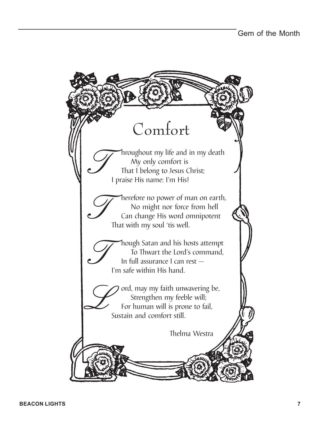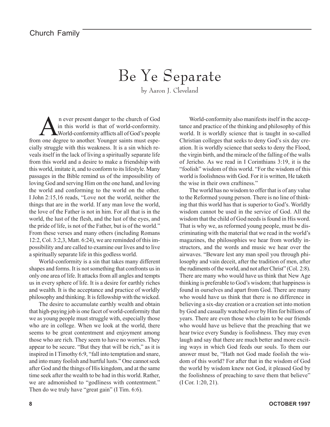## Be Ye Separate

by Aaron J. Cleveland

n ever present danger to the church of God<br>in this world is that of world-conformity.<br>World-conformity afflicts all of God's people in this world is that of world-conformity. World-conformity afflicts all of God's people from one degree to another. Younger saints must especially struggle with this weakness. It is a sin which reveals itself in the lack of living a spiritually separate life from this world and a desire to make a friendship with this world, imitate it, and to conform to its lifestyle. Many passages in the Bible remind us of the impossibility of loving God and serving Him on the one hand, and loving the world and conforming to the world on the other. I John 2:15,16 reads, "Love not the world, neither the things that are in the world. If any man love the world, the love of the Father is not in him. For all that is in the world, the lust of the flesh, and the lust of the eyes, and the pride of life, is not of the Father, but is of the world." From these verses and many others (including Romans 12:2, Col. 3:2,3, Matt. 6:24), we are reminded of this impossibility and are called to examine our lives and to live a spiritually separate life in this godless world.

World-conformity is a sin that takes many different shapes and forms. It is not something that confronts us in only one area of life. It attacks from all angles and tempts us in every sphere of life. It is a desire for earthly riches and wealth. It is the acceptance and practice of worldly philosophy and thinking. It is fellowship with the wicked.

The desire to accumulate earthly wealth and obtain that high-paying job is one facet of world-conformity that we as young people must struggle with, especially those who are in college. When we look at the world, there seems to be great contentment and enjoyment among those who are rich. They seem to have no worries. They appear to be secure. "But they that will be rich," as it is inspired in I Timothy 6:9, "fall into temptation and snare, and into many foolish and hurtful lusts." One cannot seek after God and the things of His kingdom, and at the same time seek after the wealth to be had in this world. Rather, we are admonished to "godliness with contentment." Then do we truly have "great gain" (I Tim. 6:6).

World-conformity also manifests itself in the acceptance and practice of the thinking and philosophy of this world. It is worldly science that is taught in so-called Christian colleges that seeks to deny God's six day creation. It is worldly science that seeks to deny the Flood, the virgin birth, and the miracle of the falling of the walls of Jericho. As we read in I Corinthians 3:19, it is the "foolish" wisdom of this world. "For the wisdom of this world is foolishness with God. For it is written, He taketh the wise in their own craftiness."

The world has no wisdom to offer that is of any value to the Reformed young person. There is no line of thinking that this world has that is superior to God's. Worldly wisdom cannot be used in the service of God. All the wisdom that the child of God needs is found in His word. That is why we, as reformed young people, must be discriminating with the material that we read in the world's magazines, the philosophies we hear from worldly instructors, and the words and music we hear over the airwaves. "Beware lest any man spoil you through philosophy and vain deceit, after the tradition of men, after the rudiments of the world, and not after Christ" (Col. 2:8). There are many who would have us think that New Age thinking is preferable to God's wisdom; that happiness is found in ourselves and apart from God. There are many who would have us think that there is no difference in believing a six-day creation or a creation set into motion by God and casually watched over by Him for billions of years. There are even those who claim to be our friends who would have us believe that the preaching that we hear twice every Sunday is foolishness. They may even laugh and say that there are much better and more exciting ways in which God feeds our souls. To them our answer must be, "Hath not God made foolish the wisdom of this world? For after that in the wisdom of God the world by wisdom knew not God, it pleased God by the foolishness of preaching to save them that believe" (I Cor. 1:20, 21).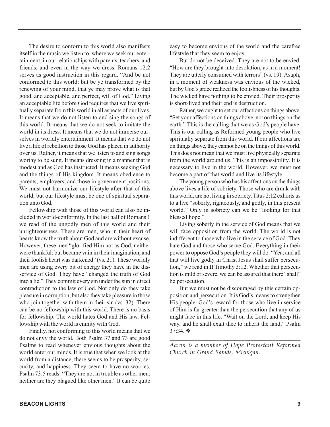The desire to conform to this world also manifests itself in the music we listen to, where we seek our entertainment, in our relationships with parents, teachers, and friends, and even in the way we dress. Romans 12:2 serves as good instruction in this regard. "And be not conformed to this world: but be ye transformed by the renewing of your mind, that ye may prove what is that good, and acceptable, and perfect, will of God." Living an acceptable life before God requires that we live spiritually separate from this world in all aspects of our lives. It means that we do not listen to and sing the songs of this world. It means that we do not seek to imitate the world in its dress. It means that we do not immerse ourselves in worldly entertainment. It means that we do not live a life of rebellion to those God has placed in authority over us. Rather, it means that we listen to and sing songs worthy to be sung. It means dressing in a manner that is modest and as God has instructed. It means seeking God and the things of His kingdom. It means obedience to parents, employers, and those in government positions. We must not harmonize our lifestyle after that of this world, but our lifestyle must be one of spiritual separation unto God.

Fellowship with those of this world can also be included in world-conformity. In the last half of Romans 1 we read of the ungodly men of this world and their unrighteousness. These are men, who in their heart of hearts know the truth about God and are without excuse. However, these men "glorified Him not as God, neither were thankful; but became vain in their imagination, and their foolish heart was darkened" (vs. 21). These worldly men are using every bit of energy they have in the disservice of God. They have "changed the truth of God into a lie." They commit every sin under the sun in direct contradiction to the law of God. Not only do they take pleasure in corruption, but also they take pleasure in those who join together with them in their sin (vs. 32). There can be no fellowship with this world. There is no basis for fellowship. The world hates God and His law. Fellowship with the world is enmity with God.

Finally, not conforming to this world means that we do not envy the world. Both Psalm 37 and 73 are good Psalms to read whenever envious thoughts about the world enter our minds. It is true that when we look at the world from a distance, there seems to be prosperity, security, and happiness. They seem to have no worries. Psalm 73:5 reads: "They are not in trouble as other men; neither are they plagued like other men." It can be quite easy to become envious of the world and the carefree lifestyle that they seem to enjoy.

But do not be deceived. They are not to be envied. "How are they brought into desolation, as in a moment! They are utterly consumed with terrors" (vs. 19). Asaph, in a moment of weakness was envious of the wicked, but by God's grace realized the foolishness of his thoughts. The wicked have nothing to be envied. Their prosperity is short-lived and their end is destruction.

Rather, we ought to set our affections on things above. "Set your affections on things above, not on things on the earth." This is the calling that we as God's people have. This is our calling as Reformed young people who live spiritually separate from this world. If our affections are on things above, they cannot be on the things of this world. This does not mean that we must live physically separate from the world around us. This is an impossibility. It is necessary to live in the world. However, we must not become a part of that world and live its lifestyle.

The young person who has his affections on the things above lives a life of sobriety. Those who are drunk with this world, are not living in sobriety. Titus 2:12 exhorts us to a live "soberly, righteously, and godly, in this present world." Only in sobriety can we be "looking for that blessed hope."

Living soberly in the service of God means that we will face opposition from the world. The world is not indifferent to those who live in the service of God. They hate God and those who serve God. Everything in their power to oppose God's people they will do. "Yea, and all that will live godly in Christ Jesus shall suffer persecution," we read in II Timothy 3:12. Whether that persecution is mild or severe, we can be assured that there "shall" be persecution.

But we must not be discouraged by this certain opposition and persecution. It is God's means to strengthen His people. God's reward for those who live in service of Him is far greater than the persecution that any of us might face in this life. "Wait on the Lord, and keep His way, and he shall exalt thee to inherit the land," Psalm 37:34. ❖

*\_\_\_\_\_\_\_\_\_\_\_\_\_\_\_\_\_\_\_\_\_\_\_\_\_\_\_\_\_\_\_\_\_\_\_\_\_\_\_\_\_\_ Aaron is a member of Hope Protestant Reformed Church in Grand Rapids, Michigan.*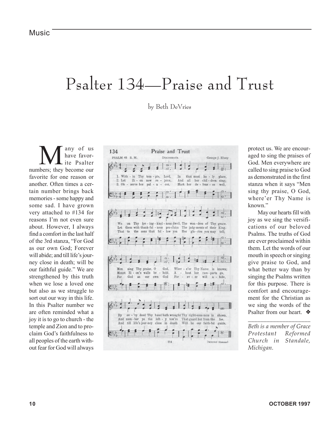### Psalter 134—Praise and Trust

by Beth DeVries

any of us have favorite Psalter numbers; they become our favorite for one reason or another. Often times a certain number brings back memories - some happy and some sad. I have grown very attached to #134 for reasons I'm not even sure about. However, I always find a comfort in the last half of the 3rd stanza, "For God as our own God; Forever will abide; and till life's journey close in death; will be our faithful guide." We are strengthened by this truth when we lose a loved one but also as we struggle to sort out our way in this life. In this Psalter number we are often reminded what a joy it is to go to church - the temple and Zion and to proclaim God's faithfulness to all peoples of the earth without fear for God will always



protect us. We are encouraged to sing the praises of God. Men everywhere are called to sing praise to God as demonstrated in the first stanza when it says "Men sing thy praise, O God, where'er Thy Name is known."

May our hearts fill with joy as we sing the versifications of our beloved Psalms. The truths of God are ever proclaimed within them. Let the words of our mouth in speech or singing give praise to God, and what better way than by singing the Psalms written for this purpose. There is comfort and encouragement for the Christian as we sing the words of the Psalter from our heart. ❖

*Beth is a member of Grace Protestant Reformed Church in Standale, Michigan.*

*\_\_\_\_\_\_\_\_\_\_\_\_\_\_\_\_\_\_\_\_*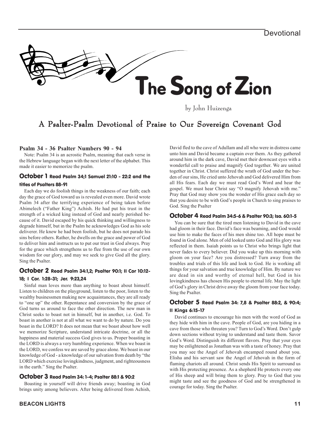

by John Huizenga

#### A Psalter-Psalm Devotional of Praise to Our Sovereign Covenant God

#### **Psalm 34 - 36 Psalter Numbers 90 - 94**

Note: Psalm 34 is an acrostic Psalm, meaning that each verse in the Hebrew language began with the next letter of the alphabet. This made it easier to memorize the psalm.

#### October 1 Read Psalm 34;1 Samuel 21:10 - 22:2 and the titles of Psalters 88-91

Each day we do foolish things in the weakness of our faith; each day the grace of God toward us is revealed even more. David wrote Psalm 34 after the terrifying experience of being taken before Abimelech ("Father King") Achish. He had put his trust in the strength of a wicked king instead of God and nearly perished because of it. David escaped by his quick thinking and willingness to degrade himself, but in the Psalm he acknowledges God as his sole deliverer. He knew he had been foolish, but he does not parade his sins before others. Rather, he dwells on the grace and power of God to deliver him and instructs us to put our trust in God always. Pray for the grace which strengthens us to flee from the use of our own wisdom for our glory, and may we seek to give God all the glory. Sing the Psalter.

#### October 2 Read Psalm 34:1,2; Psalter 90:1; II Cor 10:12-

#### 18; I Cor. 1:28-31; Jer. 9:23,24

Sinful man loves more than anything to boast about himself. Listen to children on the playground, listen to the poor, listen to the wealthy businessmen making new acquaintances, they are all ready to "one up" the other. Repentance and conversion by the grace of God turns us around to face the other direction. The new man in Christ seeks to boast not in himself, but in another, i.e. God. To boast in another is not at all what we want to do by nature. Do you boast in the LORD? It does not mean that we boast about how well we memorize Scripture, understand intricate doctrine, or all the happiness and material success God gives to us. Proper boasting in the LORD is always a very humbling experience. When we boast in the LORD, we confess we are saved by grace alone. We boast in our knowledge of God - a knowledge of our salvation from death by "the LORD which exercise lovingkindness, judgment, and righteousness in the earth." Sing the Psalter.

#### October 3 Read Psalm 34: 1-4; Psalter 88:1 & 90:2

Boasting in yourself will drive friends away; boasting in God brings unity among believers. After being delivered from Achish, David fled to the cave of Adullam and all who were in distress came unto him and David became a captain over them. As they gathered around him in the dark cave, David met their downcast eyes with a wonderful call to praise and magnify God together. We are united together in Christ. Christ suffered the wrath of God under the burden of our sins, He cried unto Jehovah and God delivered Him from all His fears. Each day we must read God's Word and hear the gospel. We must hear Christ say "O magnify Jehovah with me." Pray that God may show you the wonder of His grace each day so that you desire to be with God's people in Church to sing praises to God. Sing the Psalter

#### October 4 Read Psalm 34:5-6 & Psalter 90:3; Isa. 60:1-5

You can be sure that the tired men listening to David in the cave had gloom in their face. David's face was beaming, and God would use him to make the faces of his men shine too. All hope must be found in God alone. Men of old looked unto God and His glory was reflected in them. Isaiah points us to Christ who brings light that never fades to every believer. Did you wake up this morning with gloom on your face? Are you distressed? Turn away from the troubles and trials of this life and look to God. He is working all things for your salvation and true knowledge of Him. By nature we are dead in sin and worthy of eternal hell, but God in his lovingkindness has chosen His people to eternal life. May the light of God's glory in Christ drive away the gloom from your face today. Sing the Psalter.

#### October 5 Read Psalm 34: 7,8 & Psalter 88:2, & 90:4; II Kings 6:15-17

David continues to encourage his men with the word of God as they hide with him in the cave. People of God, are you hiding in a cave from those who threaten you? Turn to God's Word. Don't gulp down sections without trying to understand and taste them. Savor God's Word. Distinguish its different flavors. Pray that your eyes may be enlightened as Jonathan was with a taste of honey. Pray that you may see the Angel of Jehovah encamped round about you. Elisha and his servant saw the Angel of Jehovah in the form of flaming chariots all around. Christ sends His Spirit to surround us with His protecting presence. As a shepherd He protects every one of His sheep and will bring them to glory. Pray to God that you might taste and see the goodness of God and be strengthened in courage for today. Sing the Psalter.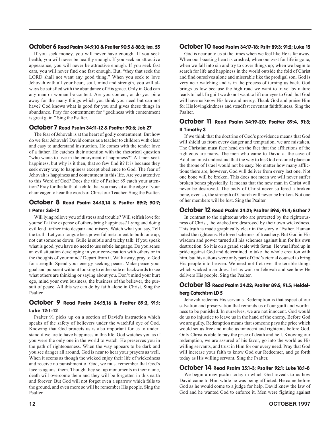#### October 6 Read Psalm 34:9,10 & Psalter 90:5 & 88:3; Isa. 55

If you seek money, you will never have enough. If you seek health, you will never be healthy enough. If you seek an attractive appearance, you will never be attractive enough. If you seek fast cars, you will never find one fast enough. But, "they that seek the LORD shall not want any good thing." When you seek to love Jehovah with all your heart, soul, mind and strength, you will always be satisfied with the abundance of His grace. Only in God can any man or woman be content. Are you content, or do you pine away for the many things which you think you need but can not have? God knows what is good for you and gives these things in abundance. Pray for contentment for "godliness with contentment is great gain." Sing the Psalter.

#### October 7 Read Psalm 34:11-12 & Psalter 90:6; Job 27

The fear of Jehovah is at the heart of godly contentment. But how do we fear Jehovah? David comes as a teacher to children with clear and easy to understand instruction. He comes with the tender love of a father. He catches their attention with the rhetorical question "who wants to live in the enjoyment of happiness?" All men seek happiness, but why is it then, that so few find it? It is because they seek every way to happiness except obedience to God. The fear of Jehovah is happiness and contentment in this life. Are you attentive to this Word of God? Does the title of Psalter 89 catch your attention? Pray for the faith of a child that you may sit at the edge of your chair eager to hear the words of Christ our Teacher. Sing the Psalter.

#### October 8 Read Psalm 34:13,14 & Psalter 89:2; 90:7; I Peter 3:8-12

Will lying relieve you of distress and trouble? Will selfish love for yourself at the expense of others bring happiness? Lying and doing evil lead further into despair and misery. Watch what you say. Tell the truth. Let your tongue be a powerful instrument to build one up, not cut someone down. Guile is subtle and tricky talk. If you speak what is good, you have no need to use subtle language. Do you sense an evil situation developing in your conversation with others or in the thoughts of your mind? Depart from it. Walk away, pray to God for strength. Spend your energy seeking peace. Make peace your goal and pursue it without looking to either side or backwards to see what others are thinking or saying about you. Don't mind your hurt ego, mind your own business, the business of the believer, the pursuit of peace. All this we can do by faith alone in Christ. Sing the Psalter.

#### October 9 Read Psalm 34:15,16 & Psalter 89:3, 91:1; Luke 12:1-12

Psalter 91 picks up on a section of David's instruction which speaks of the safety of believers under the watchful eye of God. Knowing that God protects us is also important for us to understand if we are to have happiness in this life. God watches you as if you were the only one in the world to watch. He preserves you in the path of righteousness. When the way appears to be dark and you see danger all around, God is near to hear your prayers as well. When it seems as though the wicked enjoy their life of wickedness and receive no punishment of God, we must remember that God's face is against them. Though they set up monuments in their name, death will overcome them and they will be forgotten in this earth and forever. But God will not forget even a sparrow which falls to the ground, and even more so will he remember His people. Sing the Psalter.

#### October 10 Read Psalm 34:17-18; Psltr 89:3; 91:2; Luke 15

God is near unto us at the times when we feel like He is far away. When our boasting heart is crushed, when our zest for life is gone; when we fall into sin and try to cover things up; when we begin to search for life and happiness in the world outside the fold of Christ and find ourselves alone and miserable like the prodigal son, God is very near watching and is in the process of turning us back. God brings us low because the high road we want to travel by nature leads to hell. In guilt we do not want to lift our eyes to God, but God will have us know His love and mercy. Thank God and praise Him for His lovingkindness and steadfast covenant faithfulness. Sing the Psalter.

#### October 11 Read Psalm 34:19-20; Psalter 89:4, 91:3; II Timothy 3

If we think that the doctrine of God's providence means that God will shield us from every danger and temptation, we are mistaken. The Christian must face head on the fact that the afflictions of the righteous are many. The men who came to David at the cave of Adullam must understand that the way to his God ordained place on the throne of Israel would not be easy. No matter how many afflictions there are, however, God will deliver from every last one. Not one bone will be broken. This does not mean we will never suffer broken bones physically. It means that the new man in Christ will never be destroyed. The body of Christ never suffered a broken bone, even so, the strength of Church will never be broken. Not one of her members will be lost. Sing the Psalter.

#### October 12 Read Psalm 34:21; Psalter 89:5; 91:4; Esther 7

In contrast to the righteous who are protected by the righteousness of Christ, the wicked are destroyed by their own wickedness. This truth is made graphically clear in the story of Esther. Haman hated the righteous. He loved schemes of treachery. But God in His wisdom and power turned all his schemes against him for his own destruction. So it is on a grand scale with Satan. He was lifted up in pride against God and determined to take the whole creation with him, but his actions were only part of God's eternal counsel to bring His people into heaven. We need not fret over the terrible things which wicked man does. Let us wait on Jehovah and see how He delivers His people. Sing the Psalter.

#### October 13 Read Psalm 34:22; Psalter 89:5; 91:5; Heidelberg Catechism LD 5

Jehovah redeems His servants. Redemption is that aspect of our salvation and preservation that reminds us of our guilt and worthiness to be punished. In ourselves, we are not innocent. God would do us no injustice to leave us in the hand of the enemy. Before God we are guilty. Redemption means that someone pays the price which would set us free and make us innocent and righteous before God. Only Christ is able to pay the price of death and hell. Knowing our redemption, we are assured of his favor, go into the world as His willing servants, and trust in Him for our every need. Pray that God will increase your faith to know God our Redeemer, and go forth today as His willing servant. Sing the Psalter.

#### October 14 Read Psalm 35:1-3; Psalter 92:1; Luke 18:1-8

We begin a new psalm today in which God reveals to us how David came to Him while he was being afflicted. He came before God as he would come to a judge for help. David knew the law of God and he wanted God to enforce it. Men were fighting against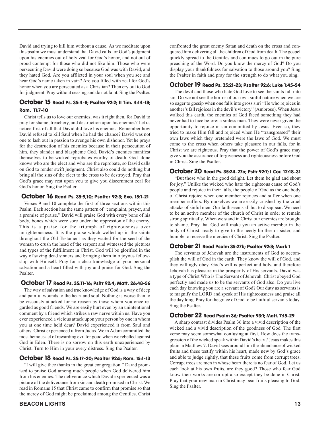David and trying to kill him without a cause. As we meditate upon this psalm we must understand that David calls for God's judgment upon his enemies out of holy zeal for God's honor, and not out of proud contempt for those who did not like him. Those who were persecuting David were doing so because God was with David, and they hated God. Are you afflicted in your soul when you see and hear God's name taken in vain? Are you filled with zeal for God's honor when you are persecuted as a Christian? Then cry out to God for judgment. Pray without ceasing and do not faint. Sing the Psalter.

#### October 15 Read Ps. 35:4-8; Psalter 92:2; II Tim. 4:14-18; Rom. 11:7-10

Christ tells us to love our enemies; was it right then, for David to pray for shame, treachery, and destruction upon his enemies? Let us notice first of all that David did love his enemies. Remember how David refused to kill Saul when he had the chance? David was not one to lash out in passion to avenge his own dishonor. Yet he prays for the destruction of his enemies because in their persecution of him, they slander and blaspheme God. David's enemies manifest themselves to be wicked reprobates worthy of death. God alone knows who are the elect and who are the reprobate, so David calls on God to render swift judgment. Christ also could do nothing but bring all the sins of the elect to the cross to be destroyed. Pray that God's grace may rest upon you to give you discernment zeal for God's honor. Sing the Psalter.

#### October 16 Read Ps. 35:9,10; Psalter 92:3; Exo. 15:1-21

Verses 9 and 10 complete the first of three sections within this Psalm. Each section has the same pattern of "complaint, prayer, and a promise of praise." David will praise God with every bone of his body, bones which were sore under the oppression of the enemy. This is a praise for the triumph of righteousness over unrighteousness. It is the praise which welled up in the saints throughout the Old Testament as they waited for the seed of the woman to crush the head of the serpent and witnessed the pictures and types of the fulfillment in Christ. God will be glorified in the way of saving dead sinners and bringing them into joyous fellowship with Himself. Pray for a clear knowledge of your personal salvation and a heart filled with joy and praise for God. Sing the Psalter.

#### October 17 Read Ps. 35:11-16; Psltr 92:4; Matt. 26:48-56

The way of salvation and true knowledge of God is a way of deep and painful wounds to the heart and soul. Nothing is worse than to be viscously attacked for no reason by those whom you once regarded as good friends. We are easily hurt even by an unintentional comment by a friend which strikes a raw nerve within us. Have you ever experienced a vicious attack upon your person by one in whom you at one time held dear? David experienced it from Saul and others. Christ experienced it from Judas. We in Adam committed the most heinous act of rewarding evil for good when we rebelled against God in Eden. There is no sorrow on this earth unexperienced by Christ. Turn to Him in your every distress. Sing the Psalter.

#### October 18 Read Ps. 35:17-20; Psalter 92:5; Rom. 15:1-13

"I will give thee thanks in the great congregation." David promised to praise God among much people when God delivered him from his enemies. The deliverance which David experienced was a picture of the deliverance from sin and death promised in Christ. We read in Romans 15 that Christ came to confirm that promise so that the mercy of God might be proclaimed among the Gentiles. Christ

confronted the great enemy Satan and death on the cross and conquered him delivering all the children of God from death. The gospel quickly spread to the Gentiles and continues to go out in the pure preaching of the Word. Do you know the mercy of God? Do you display your thankfulness for salvation to those around you? Sing the Psalter in faith and pray for the strength to do what you sing.

#### October 19 Read Ps. 35:21-23; Psalter 92:6; Luke 1:45-54

The devil and those who hate God love to see the saints fall into sin. Do we not see the horror of our own sinful nature when we are so eager to gossip when one falls into gross sin? "He who rejoices in another's fall rejoices in the devil's victory" (Ambrose). When Jesus walked this earth, the enemies of God faced something they had never had to face before: a sinless man. They were never given the opportunity to rejoice in sin committed by Jesus. Even so, they tried to make Him fall and rejoiced when He "transgressed" their own laws which they pretended were the laws of God. We must come to the cross when others take pleasure in our falls, for in Christ we are righteous. Pray that the power of God's grace may give you the assurance of forgiveness and righteousness before God in Christ. Sing the Psalter.

#### October 20 Read Ps. 35:24-27a; Psltr 92:7; I Cor. 12:18-31

"But those who in the good delight. Let them be glad and shout for joy." Unlike the wicked who hate the righteous cause of God's people and rejoice in their falls, the people of God as the one body of Christ rejoice when one member rejoices and suffer when one member suffers. By ourselves we are easily crushed by the cruel attacks of sinful men. Our faith seems all but to disappear. We need to be an active member of the church of Christ in order to remain strong spiritually. When we stand in Christ our enemies are brought to shame. Pray that God will make you an active member in the body of Christ: ready to give to the needy brother or sister, and humble to receive the mercies of Christ. Sing the Psalter.

#### October 21 Read Psalm 35:27b; Psalter 92:8; Mark 1

The servants of Jehovah are the instruments of God to accomplish the will of God in the earth. They know the will of God, and they willingly obey. God's will is perfect and holy, and therefore Jehovah has pleasure in the prosperity of His servants. David was a type of Christ Who is The Servant of Jehovah. Christ obeyed God perfectly and made us to be the servants of God also. Do you live each day knowing you are a servant of God? Our duty as servants is to magnify the LORD and speak of His righteousness and praise all the day long. Pray for the grace of God to be faithful servants today. Sing the Psalter.

#### October 22 Read Psalm 36; Psalter 93:1; Matt. 7:15-29

A sharp contrast divides Psalm 36 into a vivid description of the wicked and a vivid description of the goodness of God. The first verse may seem somewhat confusing at first. How does the transgression of the wicked speak within David's heart? Jesus makes this plain in Matthew 7. David sees around him the abundance of wicked fruits and these testify within his heart, made new by God's grace and able to judge rightly, that these fruits come from corrupt trees. Corrupt trees are men in whose heart there is no fear of God. Let us each look at his own fruits, are they good? Those who fear God know their works are corrupt also except they be done in Christ. Pray that your new man in Christ may bear fruits pleasing to God. Sing the Psalter.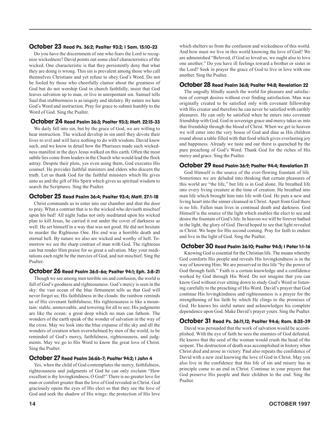#### October 23 Read Ps. 36:2; Psalter 93:2; I Sam. 15:10-23

Do you have the discernment of one who fears the Lord to recognize wickedness? David points out some chief characteristics of the wicked. One characteristic is that they persistently deny that what they are doing is wrong. This sin is prevalent among those who call themselves Christians and yet refuse to obey God's Word. Do not be fooled by those who cheerfully clamor about the greatness of God but do not worship God in church faithfully, insist that God leaves salvation up to man, or live in unrepentant sin. Samuel tells Saul that stubbornness is as iniquity and idolatry. By nature we hate God's Word and instruction. Pray for grace to submit humbly to the Word of God. Sing the Psalter.

#### October 24 Read Psalm 36:3; Psalter 93:3; Matt. 22:15-33

We daily fall into sin, but by the grace of God, we are willing to hear instruction. The wicked develop in sin until they devote their lives to evil and will have nothing to do with wisdom. David knew such, and we know in detail how the Pharisees made such wickedness manifest in the days Jesus walked on this earth. Often the most subtle lies come from leaders in the Church who would lead the flock astray. Despite their plots, yes even using them, God executes His counsel. He provides faithful ministers and elders who discern the truth. Let us thank God for the faithful ministers which He gives unto us and the gift of His Spirit which gives us spiritual wisdom to search the Scriptures. Sing the Psalter.

#### October 25 Read Psalm 36:4; Psalter 93:4; Matt. 27:1-18

Christ commands us to enter into our chamber and shut the door to pray. What a contrast that is to the wicked who deviseth mischief upon his bed! All night Judas not only meditated upon his wicked plan to kill Jesus, he carried it out under the cover of darkness as well. He set himself in a way that was not good. He did not hesitate to murder the Righteous One. His end was a horrible death and eternal hell. By nature we also are wicked and worthy of hell. Tomorrow we see the sharp contrast of man with God. The righteous can but render Him praise for so great a salvation. May your meditations each night be the mercies of God, and not mischief. Sing the Psalter.

#### October 26 Read Psalm 36:5-6a; Psalter 94:1; Eph. 3:8-21

Though we see among men terrible sin and confusion, the world is full of God's goodness and righteousness. God's mercy is seen in the sky: the vast ocean of the blue firmament tells us that God will never forget us; His faithfulness in the clouds: the rainbow reminds us of His covenant faithfulness; His righteousness is like a mountain: stable, unmoveable, and towering for all to see; His judgments are like the ocean: a great deep which no man can fathom. The wonders of the earth speak of the wonder of salvation in the way of the cross. May we look into the blue expanse of the sky and all the wonders of creation when overwhelmed by men of the world, to be reminded of God's mercy, faithfulness, righteousness, and judgments. May we go to His Word to know the great love of Christ. Sing the Psalter.

#### October 27 Read Psalm 36:6b-7; Psalter 94:2; I John 4

Yes, when the child of God contemplates the mercy, faithfulness, righteousness and judgments of God he can only exclaim "How excellent is thy lovingkindness, O God!" There is no greater love for man or comfort greater than the love of God revealed in Christ. God graciously opens the eyes of His elect so that they see the love of God and seek the shadow of His wings: the protection of His love

which shelters us from the confusion and wickedness of this world. And how must we live in this world knowing the love of God? We are admonished "Beloved, if God so loved us, we ought also to love one another." Do you have ill feelings toward a brother or sister in the Lord? Seek in prayer the grace of God to live in love with one another. Sing the Psalter.

#### October 28 Read Psalm 36:8; Psalter 94:8; Revelation 22

The ungodly blindly search the world for pleasure and satisfaction of corrupt desires without ever finding satisfaction. Man was originally created to be satisfied only with covenant fellowship with His creator and therefore he can never be satisfied with earthly pleasures. He can only be satisfied when he enters into covenant friendship with God. God in sovereign grace and mercy takes us into that friendship through the blood of Christ. When we get to heaven we will enter into the very house of God and dine as His children round about a table filled with that food which gives everlasting joy and happiness. Already we taste and our thirst is quenched by the pure preaching of God's Word. Thank God for the riches of His mercy and grace. Sing the Psalter.

#### October 29 Read Psalm 36:9; Psalter 94:4; Revelation 21

God Himself is the source of the ever-flowing fountain of life. Sometimes we are deluded into thinking that certain pleasures of this world are "the life," but life is in God alone. He breathed life into every living creature at the time of creation. He breathed into man life which brought him into life with God. He puts a new and living heart into the sinner cleansed in Christ. Apart from God there is no life. Fallen man lives in continual death and darkness. God Himself is the source of the light which enables the elect to see and desire the fountain of God's life. In heaven we will be forever bathed in the light, the glory of God. David hoped to see that light revealed in Christ. We hope for His second coming. Pray for faith to endure and live in the light of God. Sing the Psalter.

#### October 30 Read Psalm 36:10; Psalter 94:5; I Peter 1:1-16

Knowing God is essential for the Christian life. The means whereby God comforts His people and reveals His lovingkindness is in the way of knowing Him. We are preserved in this life "by the power of God through faith." Faith is a certain knowledge and a confidence worked by God through His Word. Do not imagine that you can know God without ever sitting down to study God's Word or listening carefully to the preaching of His Word. David's prayer that God continue His lovingkindness and righteousness is a prayer for the strengthening of his faith by which He clings to the promises of God. He knows his sinful nature and acknowledges his complete dependence upon God. Make David's prayer yours. Sing the Psalter.

#### October 31 Read Ps. 36:11,12; Psalter 94:6; Rom. 8:35-39

David was persuaded that the work of salvation would be accomplished. With the eye of faith he sees the enemies of God defeated. He knows that the seed of the woman would crush the head of the serpent. The destruction of death was accomplished in history when Christ died and arose in victory. Paul also repeats the confidence of David with a new zeal knowing the love of God in Christ. May you also live in the confidence that this life of sin and misery has in principle come to an end in Christ. Continue in your prayers that God preserve His people and their children to the end. Sing the Psalter.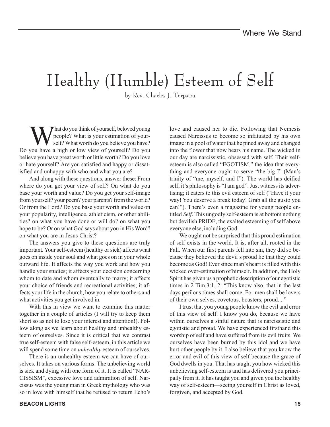## Healthy (Humble) Esteem of Self

by Rev. Charles J. Terpstra

What do you think of yourself, beloved young<br>people? What is your estimation of your-<br>self? What worth do you believe you have? people? What is your estimation of yourself? What worth do you believe you have? Do you have a high or low view of yourself? Do you believe you have great worth or little worth? Do you love or hate yourself? Are you satisfied and happy or dissatisfied and unhappy with who and what you are?

And along with these questions, answer these: From where do you get your view of self? On what do you base your worth and value? Do you get your self-image from yourself? your peers? your parents? from the world? Or from the Lord? Do you base your worth and value on your popularity, intelligence, athleticism, or other abilities? on what you have done or will do? on what you hope to be? Or on what God says about you in His Word? on what you are in Jesus Christ?

The answers you give to these questions are truly important. Your self-esteem (healthy or sick) affects what goes on inside your soul and what goes on in your whole outward life. It affects the way you work and how you handle your studies; it affects your decision concerning whom to date and whom eventually to marry; it affects your choice of friends and recreational activities; it affects your life in the church, how you relate to others and what activities you get involved in.

With this in view we want to examine this matter together in a couple of articles (I will try to keep them short so as not to lose your interest and attention!). Follow along as we learn about healthy and unhealthy esteem of ourselves. Since it is critical that we contrast true self-esteem with false self-esteem, in this article we will spend some time on *unhealthy* esteem of ourselves.

There is an unhealthy esteem we can have of ourselves. It takes on various forms. The unbelieving world is sick and dying with one form of it. It is called "NAR-CISSISM", excessive love and admiration of self. Narcissus was the young man in Greek mythology who was so in love with himself that he refused to return Echo's love and caused her to die. Following that Nemesis caused Narcissus to become so infatuated by his own image in a pool of water that he pined away and changed into the flower that now bears his name. The wicked in our day are narcissistic, obsessed with self. Their selfesteem is also called "EGOTISM," the idea that everything and everyone ought to serve "the big I" (Man's trinity of "me, myself, and I"). The world has deified self; it's philosophy is "I am god". Just witness its advertising; it caters to this evil esteem of self ("Have it your way! You deserve a break today! Grab all the gusto you can!"). There's even a magazine for young people entitled *Self*. This ungodly self-esteem is at bottom nothing but devilish PRIDE, the exalted esteeming of self above everyone else, including God.

We ought not be surprised that this proud estimation of self exists in the world. It is, after all, rooted in the Fall. When our first parents fell into sin, they did so because they believed the devil's proud lie that they could become as God! Ever since man's heart is filled with this wicked over-estimation of himself. In addition, the Holy Spirit has given us a prophetic description of our egotistic times in 2 Tim.3:1, 2: "This know also, that in the last days perilous times shall come. For men shall be lovers of their own selves, covetous, boasters, proud...."

I trust that you young people know the evil and error of this view of self. I know you do, because we have within ourselves a sinful nature that is narcissistic and egotistic and proud. We have experienced firsthand this worship of self and have suffered from its evil fruits. We ourselves have been burned by this idol and we have hurt other people by it. I also believe that you know the error and evil of this view of self because the grace of God dwells in you. That has taught you how wicked this unbelieving self-esteem is and has delivered you principally from it. It has taught you and given you the healthy way of self-esteem—seeing yourself in Christ as loved, forgiven, and accepted by God.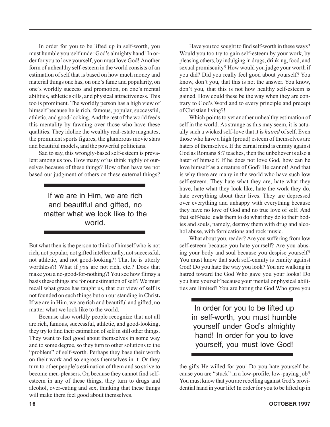In order for you to be lifted up in self-worth, you must humble yourself under God's almighty hand! In order for you to love yourself, you must love God! Another form of unhealthy self-esteem in the world consists of an estimation of self that is based on how much money and material things one has, on one's fame and popularity, on one's worldly success and promotion, on one's mental abilities, athletic skills, and physical attractiveness. This too is prominent. The worldly person has a high view of himself because he is rich, famous, popular, successful, athletic, and good-looking. And the rest of the world feeds this mentality by fawning over those who have these qualities. They idolize the wealthy real-estate magnates, the prominent sports figures, the glamorous movie stars and beautiful models, and the powerful politicians.

Sad to say, this wrongly-based self-esteem is prevalent among us too. How many of us think highly of ourselves because of these things? How often have we not based our judgment of others on these external things?

> If we are in Him, we are rich and beautiful and gifted, no matter what we look like to the world.

But what then is the person to think of himself who is not rich, not popular, not gifted intellectually, not successful, not athletic, and not good-looking?! That he is utterly worthless?! What if *you* are not rich, etc.? Does that make you a no-good-for-nothing?! You see how flimsy a basis these things are for our estimation of self? We must recall what grace has taught us, that our view of self is not founded on such things but on our standing in Christ**.** If we are in Him, we are rich and beautiful and gifted, no matter what we look like to the world.

Because also worldly people recognize that not all are rich, famous, successful, athletic, and good-looking, they try to find their estimation of self in still other things. They want to feel good about themselves in some way and to some degree, so they turn to other solutions to the "problem" of self-worth. Perhaps they base their worth on their work and so engross themselves in it. Or they turn to other people's estimation of them and so strive to become men-pleasers. Or, because they cannot find selfesteem in any of these things, they turn to drugs and alcohol, over-eating and sex, thinking that these things will make them feel good about themselves.

Have you too sought to find self-worth in these ways? Would you too try to gain self-esteem by your work, by pleasing others, by indulging in drugs, drinking, food, and sexual promiscuity? How would you judge your worth if you did? Did you really feel good about yourself? You know, don't you, that this is not the answer. You know, don't you, that this is not how healthy self-esteem is gained. How could these be the way when they are contrary to God's Word and to every principle and precept of Christian living?!

Which points to yet another unhealthy estimation of self in the world. As strange as this may seem, it is actually such a wicked self-love that it is *hatred* of self. Even those who have a high (proud) esteem of themselves are haters of themselves. If the carnal mind is enmity against God as Romans 8:7 teaches, then the unbeliever is also a hater of himself. If he does not love God, how can he love himself as a creature of God? He cannot! And that is why there are many in the world who have such low self-esteem. They hate what they are, hate what they have, hate what they look like, hate the work they do, hate everything about their lives. They are depressed over everything and unhappy with everything because they have no love of God and no true love of self. And that self-hate leads them to do what they do to their bodies and souls, namely, destroy them with drug and alcohol abuse, with fornications and rock music.

What about you, reader? Are you suffering from low self-esteem because you hate yourself? Are you abusing your body and soul because you despise yourself? You must know that such self-enmity is enmity against God! Do you hate the way you look? You are walking in hatred toward the God Who gave you your looks! Do you hate yourself because your mental or physical abilities are limited? You are hating the God Who gave you

In order for you to be lifted up in self-worth, you must humble yourself under God's almighty hand! In order for you to love yourself, you must love God!

the gifts He willed for you! Do you hate yourself because you are "stuck" in a low-profile, low-paying job? You must know that you are rebelling against God's providential hand in your life! In order for you to be lifted up in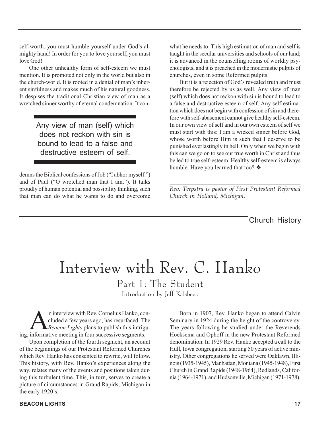self-worth, you must humble yourself under God's almighty hand! In order for you to love yourself, you must love God!

One other unhealthy form of self-esteem we must mention. It is promoted not only in the world but also in the church-world. It is rooted in a denial of man's inherent sinfulness and makes much of his natural goodness. It despises the traditional Christian view of man as a wretched sinner worthy of eternal condemnation. It con-

> Any view of man (self) which does not reckon with sin is bound to lead to a false and destructive esteem of self.

demns the Biblical confessions of Job ("I abhor myself.") and of Paul ("O wretched man that I am."). It talks proudly of human potential and possibility thinking, such that man can do what he wants to do and overcome what he needs to. This high estimation of man and self is taught in the secular universities and schools of our land; it is advanced in the counselling rooms of worldly psychologists; and it is preached in the modernistic pulpits of churches, even in some Reformed pulpits.

But it is a rejection of God's revealed truth and must therefore be rejected by us as well. Any view of man (self) which does not reckon with sin is bound to lead to a false and destructive esteem of self. Any self-estimation which does not begin with confession of sin and therefore with self-abasement cannot give healthy self-esteem. In our own view of self and in our own esteem of self we must start with this: I am a wicked sinner before God, whose worth before Him is such that I deserve to be punished everlastingly in hell. Only when we begin with this can we go on to see our true worth in Christ and thus be led to true self-esteem. Healthy self-esteem is always humble. Have you learned that too? ❖

*\_\_\_\_\_\_\_\_\_\_\_\_\_\_\_\_\_\_\_\_\_\_\_\_\_\_\_\_\_\_\_\_\_\_\_\_\_\_\_\_\_\_\_ Rev. Terpstra is pastor of First Protestant Reformed Church in Holland, Michigan.*

#### Church History

### Interview with Rev. C. Hanko

Part 1: The Student Introduction by Jeff Kalsbeek

n interview with Rev. Cornelius Hanko, con-<br>cluded a few years ago, has resurfaced. The<br>*Beacon Lights* plans to publish this intrigucluded a few years ago, has resurfaced. The *Beacon Lights* plans to publish this intriguing, informative meeting in four successive segments.

Upon completion of the fourth segment, an account of the beginnings of our Protestant Reformed Churches which Rev. Hanko has consented to rewrite, will follow. This history, with Rev. Hanko's experiences along the way, relates many of the events and positions taken during this turbulent time. This, in turn, serves to create a picture of circumstances in Grand Rapids, Michigan in the early 1920's.

Born in 1907, Rev. Hanko began to attend Calvin Seminary in 1924 during the height of the controversy. The years following he studied under the Reverends Hoeksema and Ophoff in the new Protestant Reformed denomination. In 1929 Rev. Hanko accepted a call to the Hull, Iowa congregation, starting 50 years of active ministry. Other congregations he served were Oaklawn, Illinois (1935-1945), Manhattan, Montana (1945-1948), First Church in Grand Rapids (1948-1964), Redlands, California (1964-1971), and Hudsonville, Michigan (1971-1978).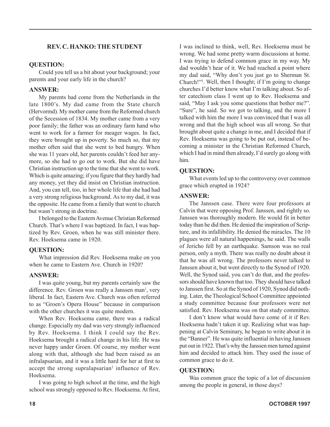#### **REV. C. HANKO: THE STUDENT**

#### **QUESTION:**

Could you tell us a bit about your background; your parents and your early life in the church?

#### **ANSWER:**

My parents had come from the Netherlands in the late 1800's. My dad came from the State church (Hervormd). My mother came from the Reformed church of the Secession of 1834. My mother came from a very poor family; the father was an ordinary farm hand who went to work for a farmer for meager wages. In fact, they were brought up in poverty. So much so, that my mother often said that she went to bed hungry. When she was 11 years old, her parents couldn't feed her anymore, so she had to go out to work. But she did have Christian instruction up to the time that she went to work. Which is quite amazing; if you figure that they hardly had any money, yet they did insist on Christian instruction. And, you can tell, too, in her whole life that she had had a very strong religious background. As to my dad, it was the opposite. He came from a family that went to church but wasn't strong in doctrine.

I belonged to the Eastern Avenue Christian Reformed Church. That's where I was baptized. In fact, I was baptized by Rev. Groen, when he was still minister there. Rev. Hoeksema came in 1920.

#### **QUESTION:**

What impression did Rev. Hoeksema make on you when he came to Eastern Ave. Church in 1920?

#### **ANSWER:**

I was quite young, but my parents certainly saw the difference. Rev. Groen was really a Janssen man<sup>1</sup>, very liberal. In fact, Eastern Ave. Church was often referred to as "Groen's Opera House" because in comparison with the other churches it was quite modern.

When Rev. Hoeksema came, there was a radical change. Especially my dad was very strongly influenced by Rev. Hoeksema. I think I could say the Rev. Hoeksema brought a radical change in his life. He was never happy under Groen. Of course, my mother went along with that, although she had been raised as an infralapsarian, and it was a little hard for her at first to accept the strong supralapsarian<sup>2</sup> influence of Rev. Hoeksema.

I was going to high school at the time, and the high school was strongly opposed to Rev. Hoeksema. At first,

I was inclined to think, well, Rev. Hoeksema must be wrong. We had some pretty warm discussions at home. I was trying to defend common grace in my way. My dad wouldn't hear of it. We had reached a point where my dad said, "Why don't you just go to Sherman St. Church!"3 . Well, then I thought; if I'm going to change churches I'd better know what I'm talking about. So after catechism class I went up to Rev. Hoeksema and said, "May I ask you some questions that bother me?". "Sure", he said. So we got to talking, and the more I talked with him the more I was convinced that I was all wrong and that the high school was all wrong. So that brought about quite a change in me, and I decided that if Rev. Hoeksema was going to be put out, instead of becoming a minister in the Christian Reformed Church, which I had in mind then already, I'd surely go along with him.

#### **QUESTION:**

What events led up to the controversy over common grace which erupted in 1924?

#### **ANSWER:**

The Janssen case. There were four professors at Calvin that were opposing Prof. Janssen, and rightly so. Janssen was thoroughly modern. He would fit in better today than he did then. He denied the inspiration of Scripture, and its infallibility. He denied the miracles. The 10 plagues were all natural happenings, he said. The walls of Jericho fell by an earthquake. Samson was no real person, only a myth. There was really no doubt about it that he was all wrong. The professors never talked to Janssen about it, but went directly to the Synod of 1920. Well, the Synod said, you can't do that, and the professors should have known that too. They should have talked to Janssen first. So at the Synod of 1920, Synod did nothing. Later, the Theological School Committee appointed a study committee because four professors were not satisfied. Rev. Hoeksema was on that study committee.

I don't know what would have come of it if Rev. Hoeksema hadn't taken it up. Realizing what was happening at Calvin Seminary, he began to write about it in the "Banner". He was quite influential in having Janssen put out in 1922. That's why the Janssen men turned against him and decided to attack him. They used the issue of common grace to do it.

#### **QUESTION:**

Was common grace the topic of a lot of discussion among the people in general, in those days?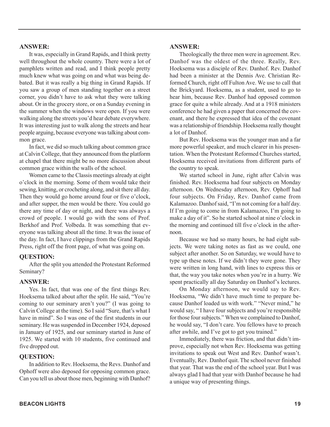#### **ANSWER:**

It was, especially in Grand Rapids, and I think pretty well throughout the whole country. There were a lot of pamphlets written and read, and I think people pretty much knew what was going on and what was being debated. But it was really a big thing in Grand Rapids. If you saw a group of men standing together on a street corner, you didn't have to ask what they were talking about. Or in the grocery store, or on a Sunday evening in the summer when the windows were open. If you were walking along the streets you'd hear debate everywhere. It was interesting just to walk along the streets and hear people arguing, because everyone was talking about common grace.

In fact, we did so much talking about common grace at Calvin College, that they announced from the platform at chapel that there might be no more discussion about common grace within the walls of the school.

Women came to the Classis meetings already at eight o'clock in the morning. Some of them would take their sewing, knitting, or crocheting along, and sit there all day. Then they would go home around four or five o'clock, and after supper, the men would be there. You could go there any time of day or night, and there was always a crowd of people. I would go with the sons of Prof. Berkhof and Prof. Volbeda. It was something that everyone was talking about all the time. It was the issue of the day. In fact, I have clippings from the Grand Rapids Press, right off the front page, of what was going on.

#### **QUESTION:**

After the split you attended the Protestant Reformed Seminary?

#### **ANSWER:**

Yes. In fact, that was one of the first things Rev. Hoeksema talked about after the split. He said, "You're coming to our seminary aren't you?" (I was going to Calvin College at the time). So I said "Sure, that's what I have in mind". So I was one of the first students in our seminary. He was suspended in December 1924, deposed in January of 1925, and our seminary started in June of 1925. We started with 10 students, five continued and five dropped out.

#### **QUESTION:**

In addition to Rev. Hoeksema, the Revs. Danhof and Ophoff were also deposed for opposing common grace. Can you tell us about those men, beginning with Danhof?

#### **ANSWER:**

Theologically the three men were in agreement. Rev. Danhof was the oldest of the three. Really, Rev. Hoeksema was a disciple of Rev. Danhof. Rev. Danhof had been a minister at the Dennis Ave. Christian Reformed Church, right off Fulton Ave. We use to call that the Brickyard. Hoeksema, as a student, used to go to hear him, because Rev. Danhof had opposed common grace for quite a while already. And at a 1918 ministers conference he had given a paper that concerned the covenant, and there he expressed that idea of the covenant was a relationship of friendship. Hoeksema really thought a lot of Danhof.

But Rev. Hoeksema was the younger man and a far more powerful speaker, and much clearer in his presentation. When the Protestant Reformed Churches started, Hoeksema received invitations from different parts of the country to speak.

We started school in June, right after Calvin was finished. Rev. Hoeksema had four subjects on Monday afternoon. On Wednesday afternoon, Rev. Ophoff had four subjects. On Friday, Rev. Danhof came from Kalamazoo. Danhof said, "I'm not coming for a half day. If I'm going to come in from Kalamazoo, I'm going to make a day of it". So he started school at nine o'clock in the morning and continued till five o'clock in the afternoon.

Because we had so many hours, he had eight subjects. We were taking notes as fast as we could, one subject after another. So on Saturday, we would have to type up these notes. If we didn't they were gone. They were written in long hand, with lines to express this or that, the way you take notes when you're in a hurry. We spent practically all day Saturday on Danhof's lectures.

On Monday afternoon, we would say to Rev. Hoeksema, "We didn't have much time to prepare because Danhof loaded us with work." "Never mind," he would say, " I have four subjects and you're responsible for those four subjects." When we complained to Danhof, he would say, "I don't care. You fellows have to preach after awhile, and I've got to get you trained."

Immediately, there was friction, and that didn't improve, especially not when Rev. Hoeksema was getting invitations to speak out West and Rev. Danhof wasn't. Eventually, Rev. Danhof quit. The school never finished that year. That was the end of the school year. But I was always glad I had that year with Danhof because he had a unique way of presenting things.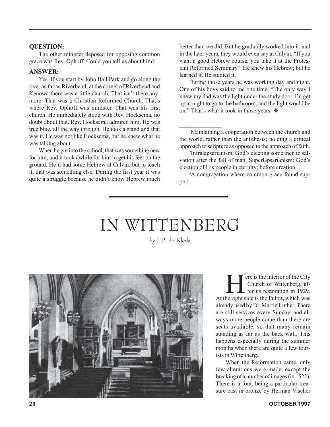#### **QUESTION:**

The other minister deposed for opposing common grace was Rev. Ophoff. Could you tell us about him?

#### **ANSWER:**

Yes. If you start by John Ball Park and go along the river as far as Riverbend, at the corner of Riverbend and Kenowa there was a little church. That isn't there anymore. That was a Christian Reformed Church. That's where Rev. Ophoff was minister. That was his first church. He immediately stood with Rev. Hoeksema, no doubt about that. Rev. Hoeksema admired him. He was true blue, all the way through. He took a stand and that was it. He was not like Hoeksema, but he knew what he was talking about.

When he got into the school, that was something new for him, and it took awhile for him to get his feet on the ground. He'd had some Hebrew at Calvin, but to teach it, that was something else. During the first year it was quite a struggle because he didn't know Hebrew much better than we did. But he gradually worked into it, and in the later years, they would even say at Calvin, "If you want a good Hebrew course, you take it at the Protestant Reformed Seminary." He knew his Hebrew; but he learned it. He studied it.

During those years he was working day and night. One of his boys said to me one time, "The only way I knew my dad was the light under the study door. I'd get up at night to go to the bathroom, and the light would be on." That's what it took in those years. ❖

1 Maintaining a cooperation between the church and the world, rather than the antithesis; holding a critical approach to scripture as opposed to the approach of faith.

*\_\_\_\_\_\_\_\_\_\_\_\_\_\_*

2 Infralapsarianism: God's electing some men to salvation after the fall of man. Superlapsarianism: God's election of His people in eternity; before creation.

<sup>3</sup>A congregation where common grace found support.

### IN WITTENBERG by J.P. de Klerk



There is the interior of the City<br>Church of Wittenberg, af-<br>ter its restoration in 1929. Church of Wittenberg, af-At the right side is the Pulpit, which was already used by Dr. Martin Luther. There are still services every Sunday, and always more people come than there are seats available, so that many remain standing as far as the back wall. This happens especially during the summer months when there are quite a few tourists in Wittenberg.

When the Reformation came, only few alterations were made, except the breaking of a number of images (in 1522). There is a font, being a particular treasure cast in bronze by Herman Vischer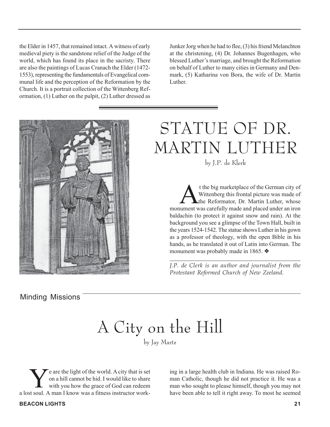the Elder in 1457, that remained intact. A witness of early medieval piety is the sandstone relief of the Judge of the world, which has found its place in the sacristy. There are also the paintings of Lucas Cranach the Elder (1472- 1553), representing the fundamentals of Evangelical communal life and the perception of the Reformation by the Church. It is a portrait collection of the Wittenberg Reformation, (1) Luther on the pulpit, (2) Luther dressed as Junker Jorg when he had to flee, (3) his friend Melanchton at the christening, (4) Dr. Johannes Bugenhagen, who blessed Luther's marriage, and brought the Reformation on behalf of Luther to many cities in Germany and Denmark, (5) Katharina von Bora, the wife of Dr. Martin Luther.



Minding Missions

### STATUE OF DR. MARTIN LUTHER by J.P. de Klerk

t the big marketplace of the German city of<br>Wittenberg this frontal picture was made of<br>the Reformator, Dr. Martin Luther, whose Wittenberg this frontal picture was made of monument was carefully made and placed under an iron baldachin (to protect it against snow and rain). At the background you see a glimpse of the Town Hall, built in the years 1524-1542. The statue shows Luther in his gown as a professor of theology, with the open Bible in his hands, as he translated it out of Latin into German. The monument was probably made in 1865. ❖

*\_\_\_\_\_\_\_\_\_\_\_\_\_\_\_\_\_\_\_\_\_\_\_\_\_\_\_\_\_\_\_\_\_\_\_\_\_\_\_\_\_\_\_ J.P. de Clerk is an author and journalist from the Protestant Reformed Church of New Zeeland.*

## A City on the Hill

by Jay Martz

e are the light of the world. A city that is set on a hill cannot be hid. I would like to share with you how the grace of God can redeem a lost soul. A man I know was a fitness instructor work-

**BEACON LIGHTS 21**

ing in a large health club in Indiana. He was raised Roman Catholic, though he did not practice it. He was a man who sought to please himself, though you may not have been able to tell it right away. To most he seemed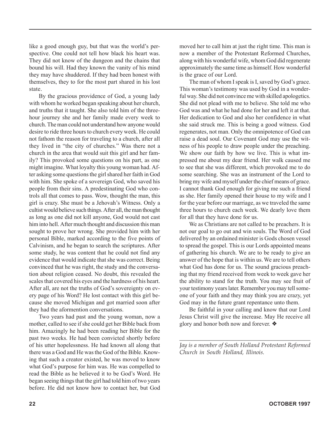like a good enough guy, but that was the world's perspective. One could not tell how black his heart was. They did not know of the dungeon and the chains that bound his will. Had they known the vanity of his mind they may have shuddered. If they had been honest with themselves, they to for the most part shared in his lost state.

By the gracious providence of God, a young lady with whom he worked began speaking about her church, and truths that it taught. She also told him of the threehour journey she and her family made every week to church. The man could not understand how anyone would desire to ride three hours to church every week. He could not fathom the reason for traveling to a church, after all they lived in "the city of churches." Was there not a church in the area that would suit this girl and her family? This provoked some questions on his part, as one might imagine. What loyalty this young woman had. After asking some questions the girl shared her faith in God with him. She spoke of a sovereign God, who saved his people from their sins. A predestinating God who controls all that comes to pass. Wow, thought the man, this girl is crazy. She must be a Jehovah's Witness. Only a cultist would believe such things. After all, the man thought as long as one did not kill anyone, God would not cast him into hell. After much thought and discussion this man sought to prove her wrong. She provided him with her personal Bible, marked according to the five points of Calvinism, and he began to search the scriptures. After some study, he was content that he could not find any evidence that would indicate that she was correct. Being convinced that he was right, the study and the conversation about religion ceased. No doubt, this revealed the scales that covered his eyes and the hardness of his heart. After all, are not the truths of God's sovereignty on every page of his Word? He lost contact with this girl because she moved Michigan and got married soon after they had the aformention conversations.

Two years had past and the young woman, now a mother, called to see if she could get her Bible back from him. Amazingly he had been reading her Bible for the past two weeks. He had been convicted shortly before of his utter hopelessness. He had known all along that there was a God and He was the God of the Bible. Knowing that such a creator existed, he was moved to know what God's purpose for him was. He was compelled to read the Bible as he believed it to be God's Word. He began seeing things that the girl had told him of two years before. He did not know how to contact her, but God

moved her to call him at just the right time. This man is now a member of the Protestant Reformed Churches, along with his wonderful wife, whom God did regenerate approximately the same time as himself. How wonderful is the grace of our Lord.

The man of whom I speak is I, saved by God's grace. This woman's testimony was used by God in a wonderful way. She did not convince me with skilled apologetics. She did not plead with me to believe. She told me who God was and what he had done for her and left it at that. Her dedication to God and also her confidence in what she said struck me. This is being a good witness. God regenerates, not man. Only the omnipotence of God can raise a dead soul. Our Covenant God may use the witness of his people to draw people under the preaching. We show our faith by how we live. This is what impressed me about my dear friend. Her walk caused me to see that she was different, which provoked me to do some searching. She was an instrument of the Lord to bring my wife and myself under the chief means of grace. I cannot thank God enough for giving me such a friend as she. Her family opened their house to my wife and I for the year before our marriage, as we traveled the same three hours to church each week. We dearly love them for all that they have done for us.

We as Christians are not called to be preachers. It is not our goal to go out and win souls. The Word of God delivered by an ordained minister is Gods chosen vessel to spread the gospel. This is our Lords appointed means of gathering his church. We are to be ready to give an answer of the hope that is within us. We are to tell others what God has done for us. The sound gracious preaching that my friend received from week to week gave her the ability to stand for the truth. You may see fruit of your testimony years later. Remember you may tell someone of your faith and they may think you are crazy, yet God may in the future grant repentance unto them.

Be faithful in your calling and know that our Lord Jesus Christ will give the increase. May He receive all glory and honor both now and forever. ❖

*\_\_\_\_\_\_\_\_\_\_\_\_\_\_\_\_\_\_\_\_\_\_\_\_\_\_\_\_\_\_\_\_\_\_\_\_\_\_\_\_\_\_\_\_ Jay is a member of South Holland Protestant Reformed Church in South Holland, Illinois.*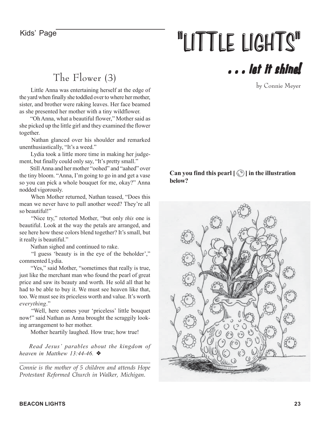# Kids' Page **"LITTLE LIGHTS"**

### The Flower (3)

 Little Anna was entertaining herself at the edge of the yard when finally she toddled over to where her mother, sister, and brother were raking leaves. Her face beamed as she presented her mother with a tiny wildflower.

 "Oh Anna, what a beautiful flower," Mother said as she picked up the little girl and they examined the flower together.

 Nathan glanced over his shoulder and remarked unenthusiastically, "It's a weed."

 Lydia took a little more time in making her judgement, but finally could only say, "It's pretty small."

 Still Anna and her mother "oohed" and "aahed" over the tiny bloom. "Anna, I'm going to go in and get a vase so you can pick a whole bouquet for me, okay?" Anna nodded vigorously.

 When Mother returned, Nathan teased, "Does this mean we never have to pull another weed? They're all so beautiful!"

 "Nice try," retorted Mother, "but only *this* one is beautiful. Look at the way the petals are arranged, and see here how these colors blend together? It's small, but it really is beautiful."

Nathan sighed and continued to rake.

 "I guess 'beauty is in the eye of the beholder'," commented Lydia.

"Yes," said Mother, "sometimes that really is true, just like the merchant man who found the pearl of great price and saw its beauty and worth. He sold all that he had to be able to buy it. We must see heaven like that, too. We must see its priceless worth and value. It's worth *everything*."

 "Well, here comes your 'priceless' little bouquet now!" said Nathan as Anna brought the scraggily looking arrangement to her mother.

Mother heartily laughed. How true; how true!

*Read Jesus' parables about the kingdom of heaven in Matthew 13:44-46.* ❖

*\_\_\_\_\_\_\_\_\_\_\_\_\_\_\_\_\_\_\_\_\_\_\_\_\_\_\_\_\_\_\_\_\_\_\_\_\_\_\_\_\_\_\_\_\_\_ Connie is the mother of 5 children and attends Hope Protestant Reformed Church in Walker, Michigan.*

### . . . let it shine!

by Connie Meyer

#### Can you find this pearl  $\lceil \bigcirc$  in the illustration **below?**